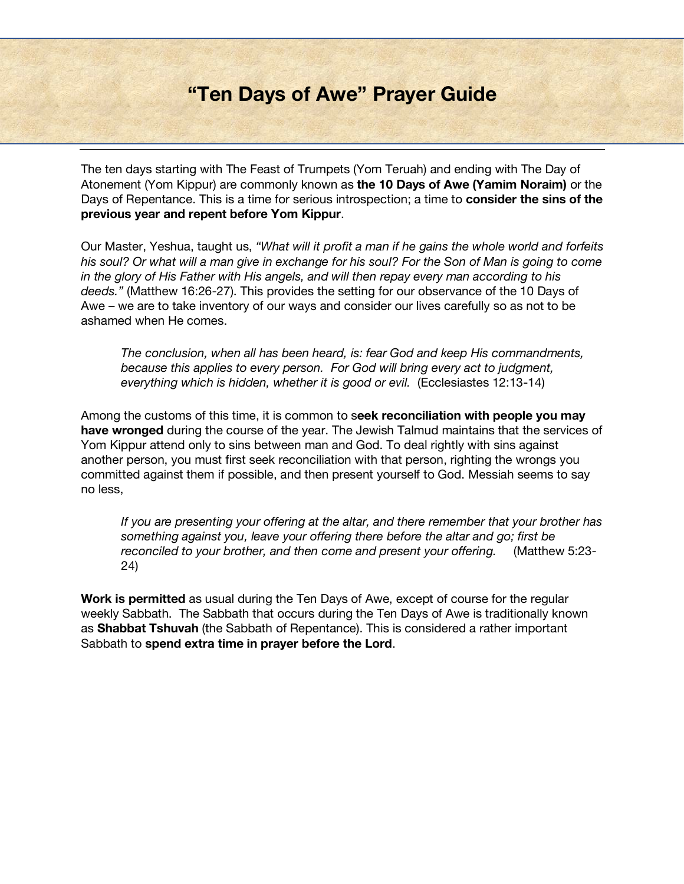# **"Ten Days of Awe" Prayer Guide**

The ten days starting with The Feast of Trumpets (Yom Teruah) and ending with The Day of Atonement (Yom Kippur) are commonly known as **the 10 Days of Awe (Yamim Noraim)** or the Days of Repentance. This is a time for serious introspection; a time to **consider the sins of the previous year and repent before Yom Kippur**.

Our Master, Yeshua, taught us, *"What will it profit a man if he gains the whole world and forfeits his soul? Or what will a man give in exchange for his soul? For the Son of Man is going to come in the glory of His Father with His angels, and will then repay every man according to his deeds."* (Matthew 16:26-27). This provides the setting for our observance of the 10 Days of Awe – we are to take inventory of our ways and consider our lives carefully so as not to be ashamed when He comes.

*The conclusion, when all has been heard, is: fear God and keep His commandments, because this applies to every person. For God will bring every act to judgment, everything which is hidden, whether it is good or evil.* (Ecclesiastes 12:13-14)

Among the customs of this time, it is common to s**eek reconciliation with people you may have wronged** during the course of the year. The Jewish Talmud maintains that the services of Yom Kippur attend only to sins between man and God. To deal rightly with sins against another person, you must first seek reconciliation with that person, righting the wrongs you committed against them if possible, and then present yourself to God. Messiah seems to say no less,

*If you are presenting your offering at the altar, and there remember that your brother has something against you, leave your offering there before the altar and go; first be reconciled to your brother, and then come and present your offering.* (Matthew 5:23- 24)

**Work is permitted** as usual during the Ten Days of Awe, except of course for the regular weekly Sabbath. The Sabbath that occurs during the Ten Days of Awe is traditionally known as **Shabbat Tshuvah** (the Sabbath of Repentance). This is considered a rather important Sabbath to **spend extra time in prayer before the Lord**.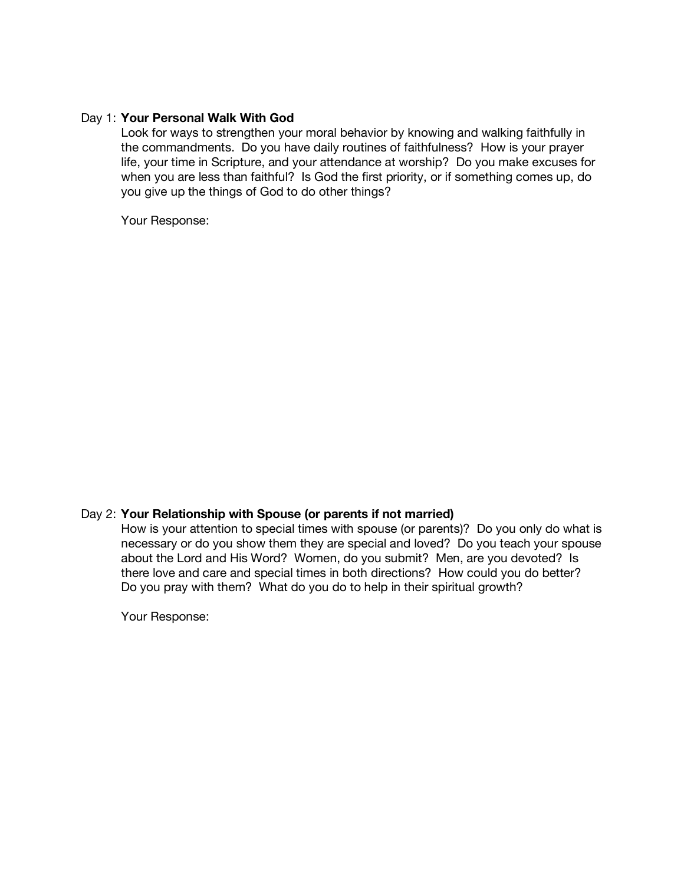## Day 1: **Your Personal Walk With God**

Look for ways to strengthen your moral behavior by knowing and walking faithfully in the commandments. Do you have daily routines of faithfulness? How is your prayer life, your time in Scripture, and your attendance at worship? Do you make excuses for when you are less than faithful? Is God the first priority, or if something comes up, do you give up the things of God to do other things?

Your Response:

## Day 2: **Your Relationship with Spouse (or parents if not married)**

How is your attention to special times with spouse (or parents)? Do you only do what is necessary or do you show them they are special and loved? Do you teach your spouse about the Lord and His Word? Women, do you submit? Men, are you devoted? Is there love and care and special times in both directions? How could you do better? Do you pray with them? What do you do to help in their spiritual growth?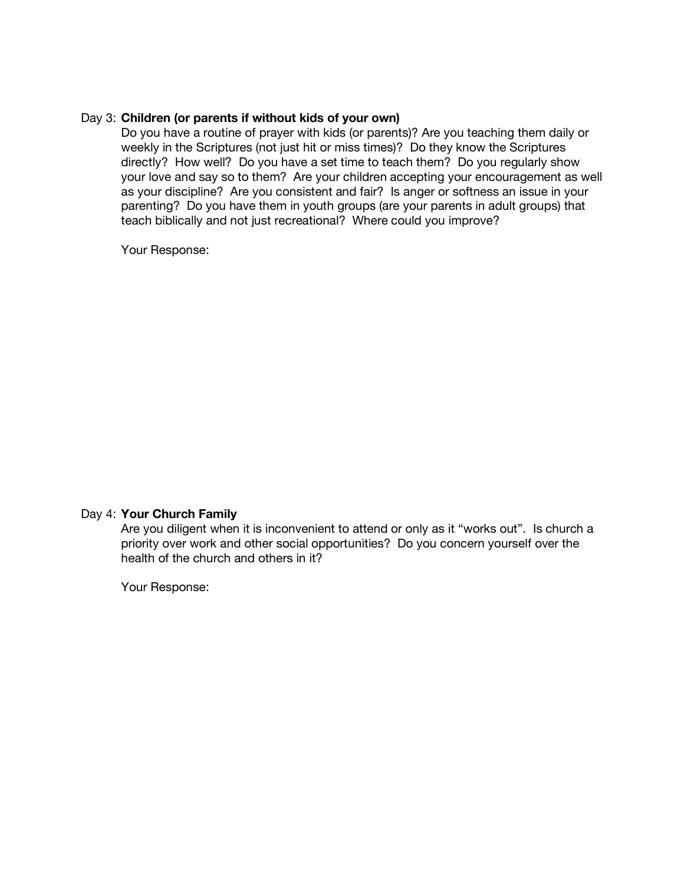## Day 3: **Children (or parents if without kids of your own)**

Do you have a routine of prayer with kids (or parents)? Are you teaching them daily or weekly in the Scriptures (not just hit or miss times)? Do they know the Scriptures directly? How well? Do you have a set time to teach them? Do you regularly show your love and say so to them? Are your children accepting your encouragement as well as your discipline? Are you consistent and fair? Is anger or softness an issue in your parenting? Do you have them in youth groups (are your parents in adult groups) that teach biblically and not just recreational? Where could you improve?

Your Response:

#### Day 4: **Your Church Family**

Are you diligent when it is inconvenient to attend or only as it "works out". Is church a priority over work and other social opportunities? Do you concern yourself over the health of the church and others in it?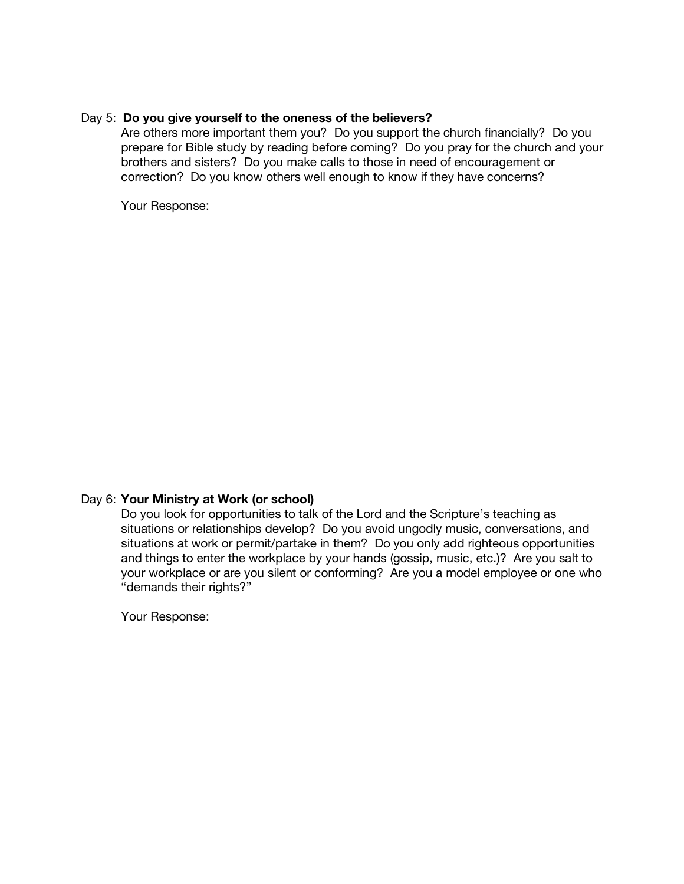## Day 5: **Do you give yourself to the oneness of the believers?**

Are others more important them you? Do you support the church financially? Do you prepare for Bible study by reading before coming? Do you pray for the church and your brothers and sisters? Do you make calls to those in need of encouragement or correction? Do you know others well enough to know if they have concerns?

Your Response:

## Day 6: **Your Ministry at Work (or school)**

Do you look for opportunities to talk of the Lord and the Scripture's teaching as situations or relationships develop? Do you avoid ungodly music, conversations, and situations at work or permit/partake in them? Do you only add righteous opportunities and things to enter the workplace by your hands (gossip, music, etc.)? Are you salt to your workplace or are you silent or conforming? Are you a model employee or one who "demands their rights?"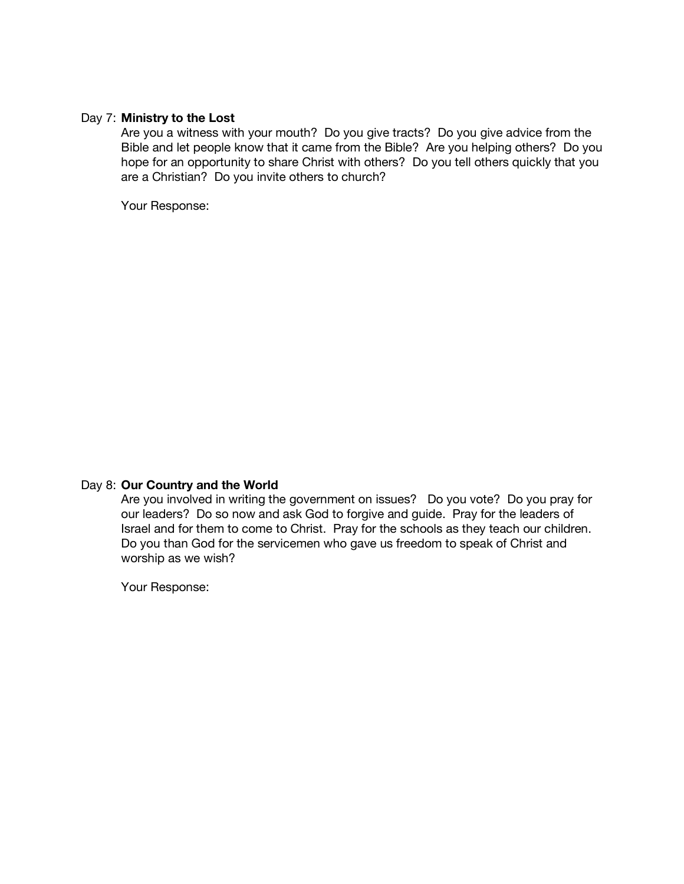## Day 7: **Ministry to the Lost**

Are you a witness with your mouth? Do you give tracts? Do you give advice from the Bible and let people know that it came from the Bible? Are you helping others? Do you hope for an opportunity to share Christ with others? Do you tell others quickly that you are a Christian? Do you invite others to church?

Your Response:

## Day 8: **Our Country and the World**

Are you involved in writing the government on issues? Do you vote? Do you pray for our leaders? Do so now and ask God to forgive and guide. Pray for the leaders of Israel and for them to come to Christ. Pray for the schools as they teach our children. Do you than God for the servicemen who gave us freedom to speak of Christ and worship as we wish?